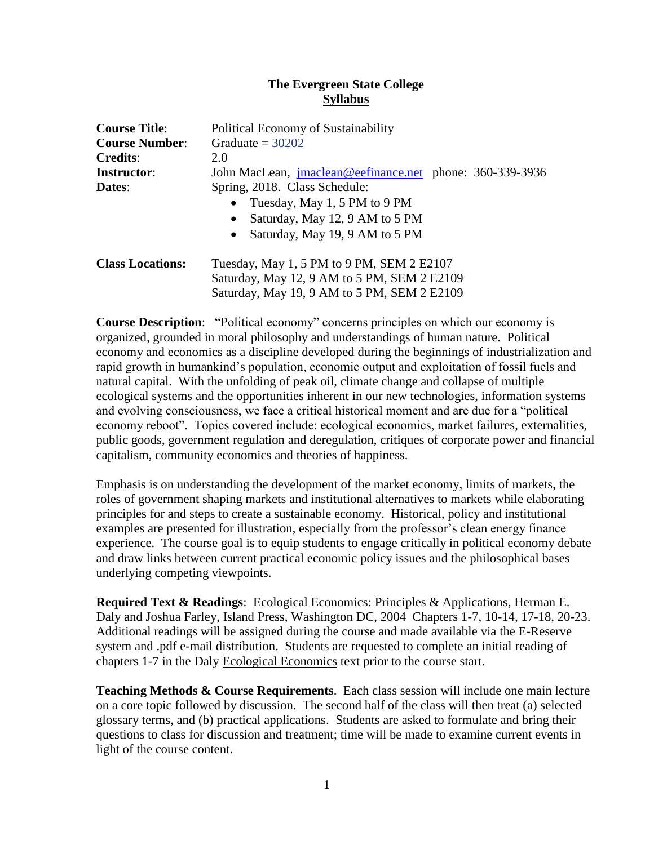## **The Evergreen State College Syllabus**

| <b>Course Title:</b>                        | <b>Political Economy of Sustainability</b>                      |  |  |  |
|---------------------------------------------|-----------------------------------------------------------------|--|--|--|
| Graduate = $30202$<br><b>Course Number:</b> |                                                                 |  |  |  |
| <b>Credits:</b>                             | 2.0                                                             |  |  |  |
| Instructor:                                 | John MacLean, <i>imaclean@eefinance.net</i> phone: 360-339-3936 |  |  |  |
| Spring, 2018. Class Schedule:<br>Dates:     |                                                                 |  |  |  |
|                                             | • Tuesday, May 1, 5 PM to 9 PM                                  |  |  |  |
|                                             | Saturday, May 12, 9 AM to 5 PM<br>$\bullet$                     |  |  |  |
|                                             | Saturday, May 19, 9 AM to 5 PM<br>$\bullet$                     |  |  |  |
| <b>Class Locations:</b>                     | Tuesday, May 1, 5 PM to 9 PM, SEM 2 E2107                       |  |  |  |
|                                             | Saturday, May 12, 9 AM to 5 PM, SEM 2 E2109                     |  |  |  |
| Saturday, May 19, 9 AM to 5 PM, SEM 2 E2109 |                                                                 |  |  |  |

**Course Description**: "Political economy" concerns principles on which our economy is organized, grounded in moral philosophy and understandings of human nature. Political economy and economics as a discipline developed during the beginnings of industrialization and rapid growth in humankind's population, economic output and exploitation of fossil fuels and natural capital. With the unfolding of peak oil, climate change and collapse of multiple ecological systems and the opportunities inherent in our new technologies, information systems and evolving consciousness, we face a critical historical moment and are due for a "political economy reboot". Topics covered include: ecological economics, market failures, externalities, public goods, government regulation and deregulation, critiques of corporate power and financial capitalism, community economics and theories of happiness.

Emphasis is on understanding the development of the market economy, limits of markets, the roles of government shaping markets and institutional alternatives to markets while elaborating principles for and steps to create a sustainable economy. Historical, policy and institutional examples are presented for illustration, especially from the professor's clean energy finance experience. The course goal is to equip students to engage critically in political economy debate and draw links between current practical economic policy issues and the philosophical bases underlying competing viewpoints.

**Required Text & Readings**: Ecological Economics: Principles & Applications, Herman E. Daly and Joshua Farley, Island Press, Washington DC, 2004 Chapters 1-7, 10-14, 17-18, 20-23. Additional readings will be assigned during the course and made available via the E-Reserve system and .pdf e-mail distribution. Students are requested to complete an initial reading of chapters 1-7 in the Daly Ecological Economics text prior to the course start.

**Teaching Methods & Course Requirements**. Each class session will include one main lecture on a core topic followed by discussion. The second half of the class will then treat (a) selected glossary terms, and (b) practical applications. Students are asked to formulate and bring their questions to class for discussion and treatment; time will be made to examine current events in light of the course content.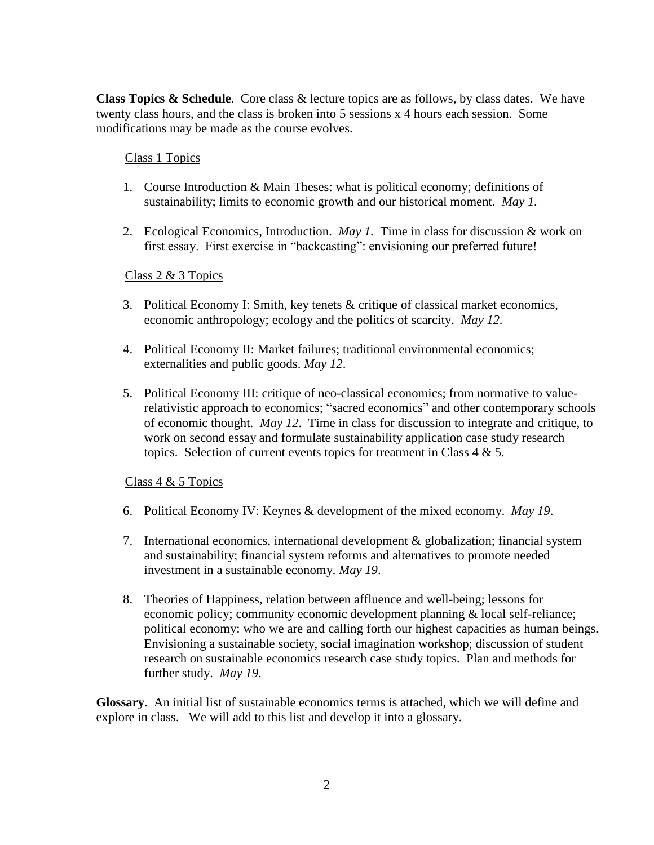**Class Topics & Schedule**. Core class & lecture topics are as follows, by class dates. We have twenty class hours, and the class is broken into 5 sessions x 4 hours each session. Some modifications may be made as the course evolves.

### Class 1 Topics

- 1. Course Introduction & Main Theses: what is political economy; definitions of sustainability; limits to economic growth and our historical moment. *May 1.*
- 2. Ecological Economics, Introduction. *May 1.* Time in class for discussion & work on first essay. First exercise in "backcasting": envisioning our preferred future!

## Class 2 & 3 Topics

- 3. Political Economy I: Smith, key tenets & critique of classical market economics, economic anthropology; ecology and the politics of scarcity. *May 12.*
- 4. Political Economy II: Market failures; traditional environmental economics; externalities and public goods. *May 12*.
- 5. Political Economy III: critique of neo-classical economics; from normative to valuerelativistic approach to economics; "sacred economics" and other contemporary schools of economic thought. *May 12*. Time in class for discussion to integrate and critique, to work on second essay and formulate sustainability application case study research topics. Selection of current events topics for treatment in Class  $4 \& 5$ .

# Class 4 & 5 Topics

- 6. Political Economy IV: Keynes & development of the mixed economy. *May 19*.
- 7. International economics, international development & globalization; financial system and sustainability; financial system reforms and alternatives to promote needed investment in a sustainable economy. *May 19*.
- 8. Theories of Happiness, relation between affluence and well-being; lessons for economic policy; community economic development planning & local self-reliance; political economy: who we are and calling forth our highest capacities as human beings. Envisioning a sustainable society, social imagination workshop; discussion of student research on sustainable economics research case study topics. Plan and methods for further study. *May 19*.

**Glossary**. An initial list of sustainable economics terms is attached, which we will define and explore in class. We will add to this list and develop it into a glossary.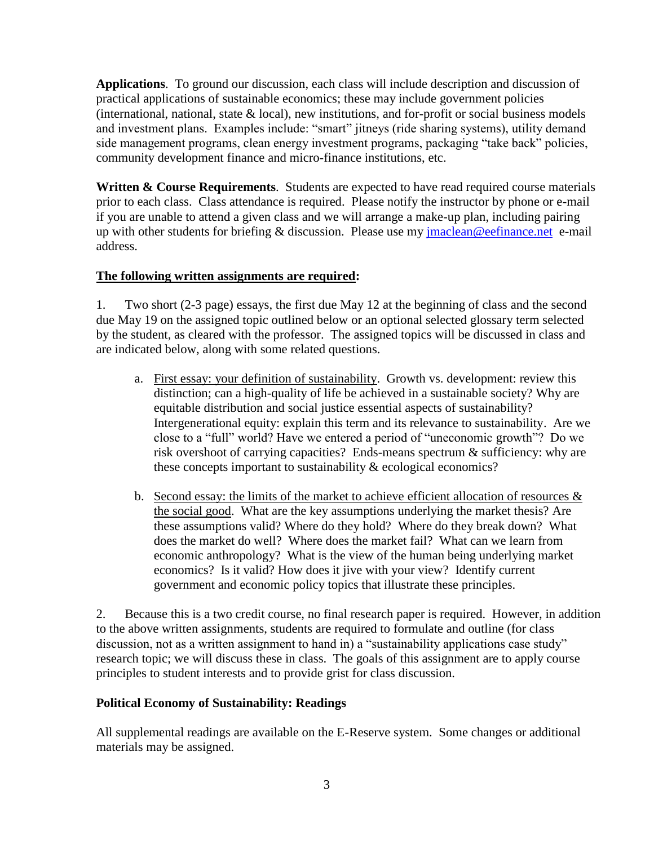**Applications**. To ground our discussion, each class will include description and discussion of practical applications of sustainable economics; these may include government policies (international, national, state  $\&$  local), new institutions, and for-profit or social business models and investment plans. Examples include: "smart" jitneys (ride sharing systems), utility demand side management programs, clean energy investment programs, packaging "take back" policies, community development finance and micro-finance institutions, etc.

**Written & Course Requirements**. Students are expected to have read required course materials prior to each class. Class attendance is required. Please notify the instructor by phone or e-mail if you are unable to attend a given class and we will arrange a make-up plan, including pairing up with other students for briefing & discussion. Please use my [jmaclean@eefinance.net](mailto:jmaclean@eefinance.net) e-mail address.

# **The following written assignments are required:**

1. Two short (2-3 page) essays, the first due May 12 at the beginning of class and the second due May 19 on the assigned topic outlined below or an optional selected glossary term selected by the student, as cleared with the professor. The assigned topics will be discussed in class and are indicated below, along with some related questions.

- a. First essay: your definition of sustainability. Growth vs. development: review this distinction; can a high-quality of life be achieved in a sustainable society? Why are equitable distribution and social justice essential aspects of sustainability? Intergenerational equity: explain this term and its relevance to sustainability. Are we close to a "full" world? Have we entered a period of "uneconomic growth"? Do we risk overshoot of carrying capacities? Ends-means spectrum & sufficiency: why are these concepts important to sustainability & ecological economics?
- b. Second essay: the limits of the market to achieve efficient allocation of resources  $\&$ the social good. What are the key assumptions underlying the market thesis? Are these assumptions valid? Where do they hold? Where do they break down? What does the market do well? Where does the market fail? What can we learn from economic anthropology? What is the view of the human being underlying market economics? Is it valid? How does it jive with your view? Identify current government and economic policy topics that illustrate these principles.

2. Because this is a two credit course, no final research paper is required. However, in addition to the above written assignments, students are required to formulate and outline (for class discussion, not as a written assignment to hand in) a "sustainability applications case study" research topic; we will discuss these in class. The goals of this assignment are to apply course principles to student interests and to provide grist for class discussion.

# **Political Economy of Sustainability: Readings**

All supplemental readings are available on the E-Reserve system. Some changes or additional materials may be assigned.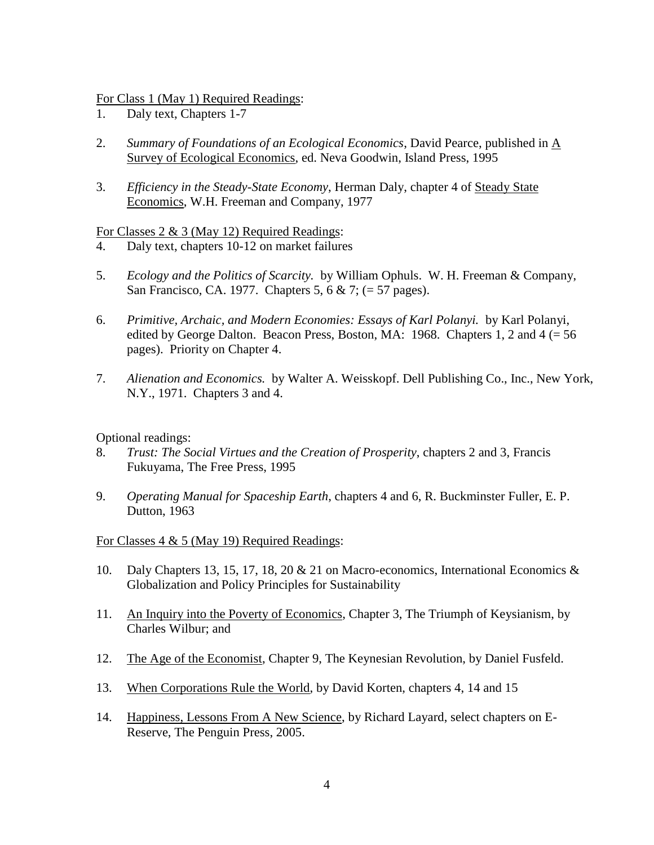For Class 1 (May 1) Required Readings:

- 1. Daly text, Chapters 1-7
- 2. *Summary of Foundations of an Ecological Economics*, David Pearce, published in A Survey of Ecological Economics, ed. Neva Goodwin, Island Press, 1995
- 3. *Efficiency in the Steady-State Economy*, Herman Daly, chapter 4 of Steady State Economics, W.H. Freeman and Company, 1977

### For Classes 2 & 3 (May 12) Required Readings:

- 4. Daly text, chapters 10-12 on market failures
- 5. *Ecology and the Politics of Scarcity.* by William Ophuls. W. H. Freeman & Company, San Francisco, CA. 1977. Chapters 5, 6 & 7; (= 57 pages).
- 6. *Primitive, Archaic, and Modern Economies: Essays of Karl Polanyi.* by Karl Polanyi, edited by George Dalton. Beacon Press, Boston, MA: 1968. Chapters 1, 2 and  $4 (= 56)$ pages). Priority on Chapter 4.
- 7. *Alienation and Economics.* by Walter A. Weisskopf. Dell Publishing Co., Inc., New York, N.Y., 1971. Chapters 3 and 4.

Optional readings:

- 8. *Trust: The Social Virtues and the Creation of Prosperity*, chapters 2 and 3, Francis Fukuyama, The Free Press, 1995
- 9. *Operating Manual for Spaceship Earth*, chapters 4 and 6, R. Buckminster Fuller, E. P. Dutton, 1963

### For Classes 4 & 5 (May 19) Required Readings:

- 10. Daly Chapters 13, 15, 17, 18, 20 & 21 on Macro-economics, International Economics & Globalization and Policy Principles for Sustainability
- 11. An Inquiry into the Poverty of Economics, Chapter 3, The Triumph of Keysianism, by Charles Wilbur; and
- 12. The Age of the Economist, Chapter 9, The Keynesian Revolution, by Daniel Fusfeld.
- 13. When Corporations Rule the World, by David Korten, chapters 4, 14 and 15
- 14. Happiness, Lessons From A New Science, by Richard Layard, select chapters on E-Reserve, The Penguin Press, 2005.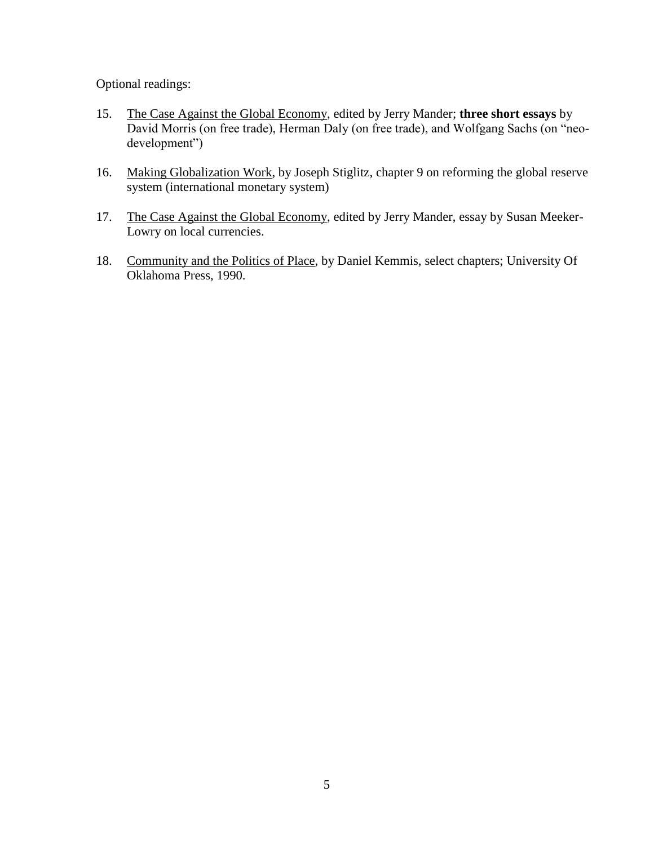Optional readings:

- 15. The Case Against the Global Economy, edited by Jerry Mander; **three short essays** by David Morris (on free trade), Herman Daly (on free trade), and Wolfgang Sachs (on "neodevelopment")
- 16. Making Globalization Work, by Joseph Stiglitz, chapter 9 on reforming the global reserve system (international monetary system)
- 17. The Case Against the Global Economy, edited by Jerry Mander, essay by Susan Meeker-Lowry on local currencies.
- 18. Community and the Politics of Place, by Daniel Kemmis, select chapters; University Of Oklahoma Press, 1990.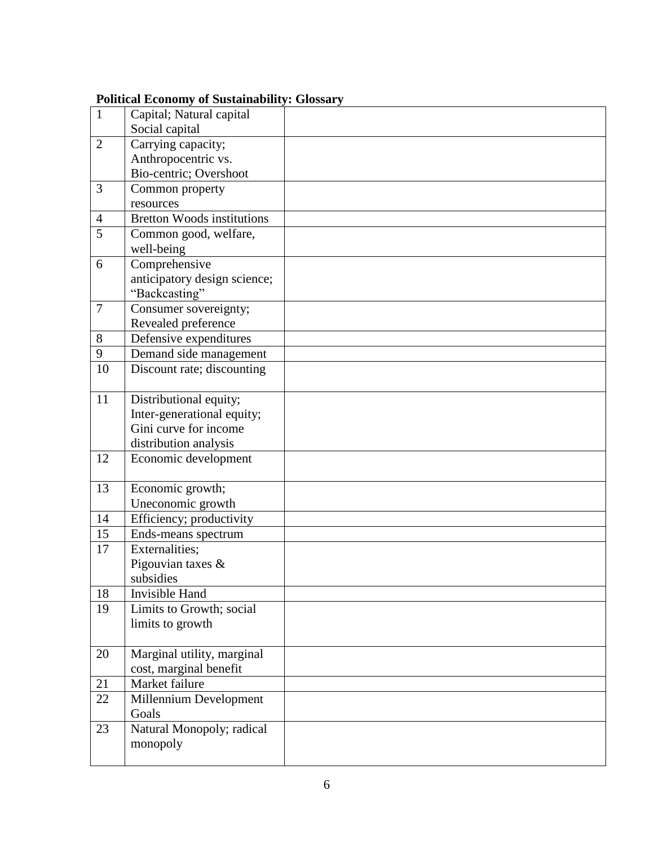|                  | r onnear Leonomy or Dastamability. Grossar |  |
|------------------|--------------------------------------------|--|
| $\mathbf{1}$     | Capital; Natural capital                   |  |
|                  | Social capital                             |  |
| $\overline{2}$   | Carrying capacity;                         |  |
|                  | Anthropocentric vs.                        |  |
|                  | Bio-centric; Overshoot                     |  |
| 3                | Common property                            |  |
|                  | resources                                  |  |
| $\overline{4}$   | Bretton Woods institutions                 |  |
| $\overline{5}$   | Common good, welfare,                      |  |
|                  | well-being                                 |  |
| 6                | Comprehensive                              |  |
|                  | anticipatory design science;               |  |
|                  | "Backcasting"                              |  |
| $\boldsymbol{7}$ | Consumer sovereignty;                      |  |
|                  | Revealed preference                        |  |
| $8\,$            | Defensive expenditures                     |  |
| 9                | Demand side management                     |  |
| 10               | Discount rate; discounting                 |  |
|                  |                                            |  |
| 11               | Distributional equity;                     |  |
|                  | Inter-generational equity;                 |  |
|                  | Gini curve for income                      |  |
|                  | distribution analysis                      |  |
| 12               | Economic development                       |  |
| 13               |                                            |  |
|                  | Economic growth;<br>Uneconomic growth      |  |
| 14               | Efficiency; productivity                   |  |
| 15               | Ends-means spectrum                        |  |
| 17               | Externalities;                             |  |
|                  | Pigouvian taxes $\&$                       |  |
|                  | subsidies                                  |  |
| 18               | Invisible Hand                             |  |
| 19               | Limits to Growth; social                   |  |
|                  | limits to growth                           |  |
|                  |                                            |  |
| 20               | Marginal utility, marginal                 |  |
|                  | cost, marginal benefit                     |  |
| 21               | Market failure                             |  |
| 22               | Millennium Development                     |  |
|                  | Goals                                      |  |
| 23               | Natural Monopoly; radical                  |  |
|                  | monopoly                                   |  |
|                  |                                            |  |
|                  |                                            |  |

## **Political Economy of Sustainability: Glossary**